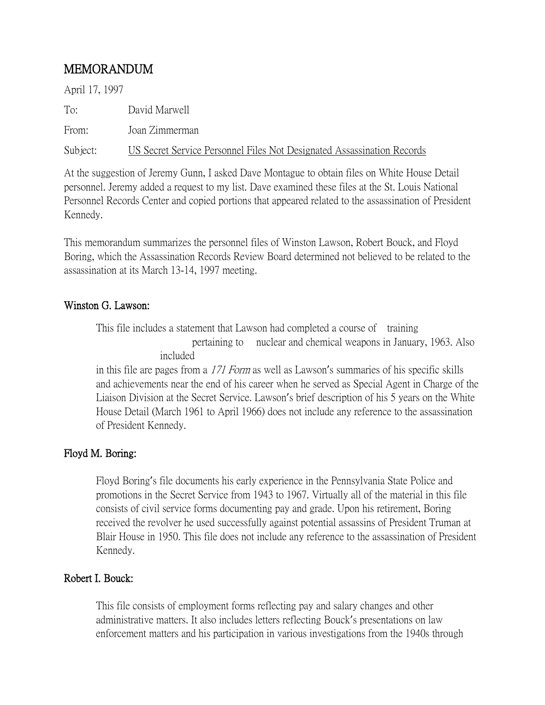## MEMORANDUM

April 17, 1997 To: David Marwell

From: Joan Zimmerman

Subject: US Secret Service Personnel Files Not Designated Assassination Records

At the suggestion of Jeremy Gunn, I asked Dave Montague to obtain files on White House Detail personnel. Jeremy added a request to my list. Dave examined these files at the St. Louis National Personnel Records Center and copied portions that appeared related to the assassination of President Kennedy.

This memorandum summarizes the personnel files of Winston Lawson, Robert Bouck, and Floyd Boring, which the Assassination Records Review Board determined not believed to be related to the assassination at its March 13-14, 1997 meeting.

## Winston G. Lawson:

This file includes a statement that Lawson had completed a course of training pertaining to nuclear and chemical weapons in January, 1963. Also included

in this file are pages from a 171 Form as well as Lawson's summaries of his specific skills and achievements near the end of his career when he served as Special Agent in Charge of the Liaison Division at the Secret Service. Lawson's brief description of his 5 years on the White House Detail (March 1961 to April 1966) does not include any reference to the assassination of President Kennedy.

## Floyd M. Boring:

Floyd Boring's file documents his early experience in the Pennsylvania State Police and promotions in the Secret Service from 1943 to 1967. Virtually all of the material in this file consists of civil service forms documenting pay and grade. Upon his retirement, Boring received the revolver he used successfully against potential assassins of President Truman at Blair House in 1950. This file does not include any reference to the assassination of President Kennedy.

## Robert I. Bouck:

This file consists of employment forms reflecting pay and salary changes and other administrative matters. It also includes letters reflecting Bouck's presentations on law enforcement matters and his participation in various investigations from the 1940s through